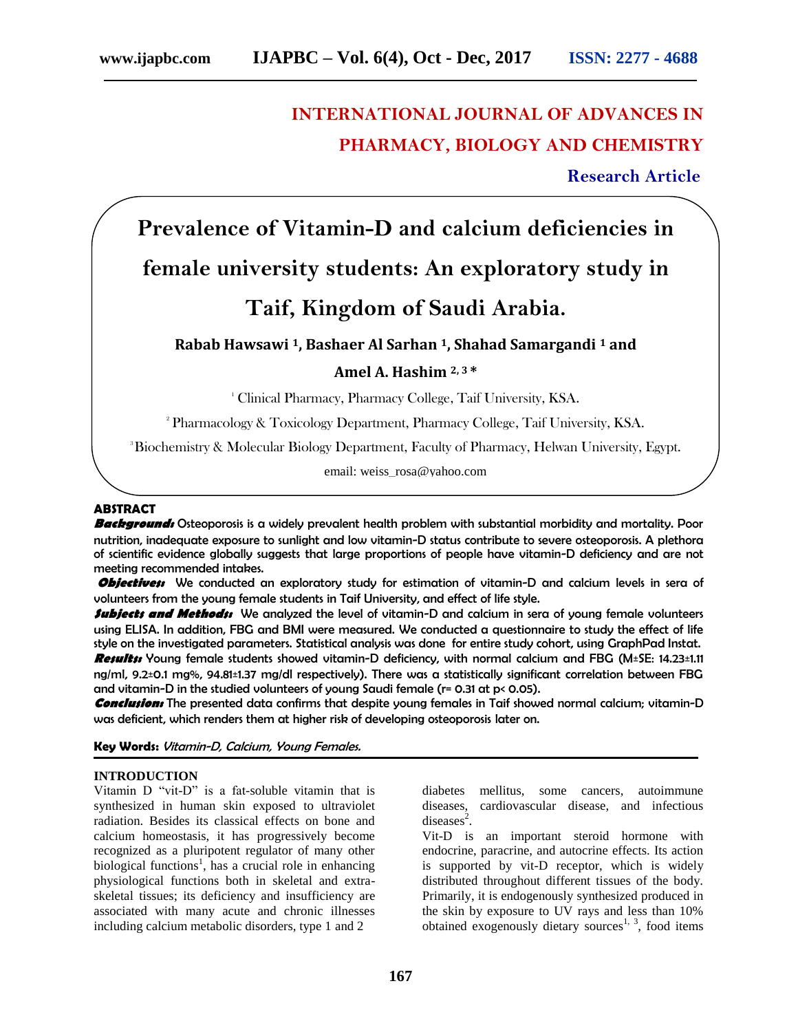## **INTERNATIONAL JOURNAL OF ADVANCES IN PHARMACY, BIOLOGY AND CHEMISTRY**

 **Research Article**

# **Prevalence of Vitamin-D and calcium deficiencies in female university students: An exploratory study in Taif, Kingdom of Saudi Arabia.**

## **Rabab Hawsawi 1, Bashaer Al Sarhan 1, Shahad Samargandi <sup>1</sup> and**

### **Amel A. Hashim 2, 3 \***

<sup>1</sup> Clinical Pharmacy, Pharmacy College, Taif University, KSA.

<sup>2</sup> Pharmacology & Toxicology Department, Pharmacy College, Taif University, KSA.

<sup>3</sup>Biochemistry & Molecular Biology Department, Faculty of Pharmacy, Helwan University, Egypt.

email: weiss\_rosa@yahoo.com

#### **ABSTRACT**

**Background:** Osteoporosis is a widely prevalent health problem with substantial morbidity and mortality. Poor nutrition, inadequate exposure to sunlight and low vitamin-D status contribute to severe osteoporosis. A plethora of scientific evidence globally suggests that large proportions of people have vitamin-D deficiency and are not meeting recommended intakes.

**Objectives:** We conducted an exploratory study for estimation of vitamin-D and calcium levels in sera of volunteers from the young female students in Taif University, and effect of life style.

**Subjects and Methods:** We analyzed the level of vitamin-D and calcium in sera of young female volunteers using ELISA. In addition, FBG and BMI were measured. We conducted a questionnaire to study the effect of life style on the investigated parameters. Statistical analysis was done for entire study cohort, using GraphPad Instat. **Results:** Young female students showed vitamin-D deficiency, with normal calcium and FBG (M±SE: 14.23±1.11 ng/ml, 9.2±0.1 mg%, 94.81±1.37 mg/dl respectively). There was a statistically significant correlation between FBG and vitamin-D in the studied volunteers of young Saudi female (r= 0.31 at p< 0.05).

**Conclusion:** The presented data confirms that despite young females in Taif showed normal calcium; vitamin-D was deficient, which renders them at higher risk of developing osteoporosis later on.

**Key Words:** Vitamin-D, Calcium, Young Females.

#### **INTRODUCTION**

Vitamin D "vit-D" is a fat-soluble vitamin that is synthesized in human skin exposed to ultraviolet radiation. Besides its classical effects on bone and calcium homeostasis, it has progressively become recognized as a pluripotent regulator of many other biological functions<sup>1</sup>, has a crucial role in enhancing physiological functions both in skeletal and extraskeletal tissues; its deficiency and insufficiency are associated with many acute and chronic illnesses including calcium metabolic disorders, type 1 and 2

diabetes mellitus, some cancers, autoimmune diseases, cardiovascular disease, and infectious  $diseases<sup>2</sup>$ .

Vit-D is an important steroid hormone with endocrine, paracrine, and autocrine effects. Its action is supported by vit-D receptor, which is widely distributed throughout different tissues of the body. Primarily, it is endogenously synthesized produced in the skin by exposure to UV rays and less than 10% obtained exogenously dietary sources<sup>1, 3</sup>, food items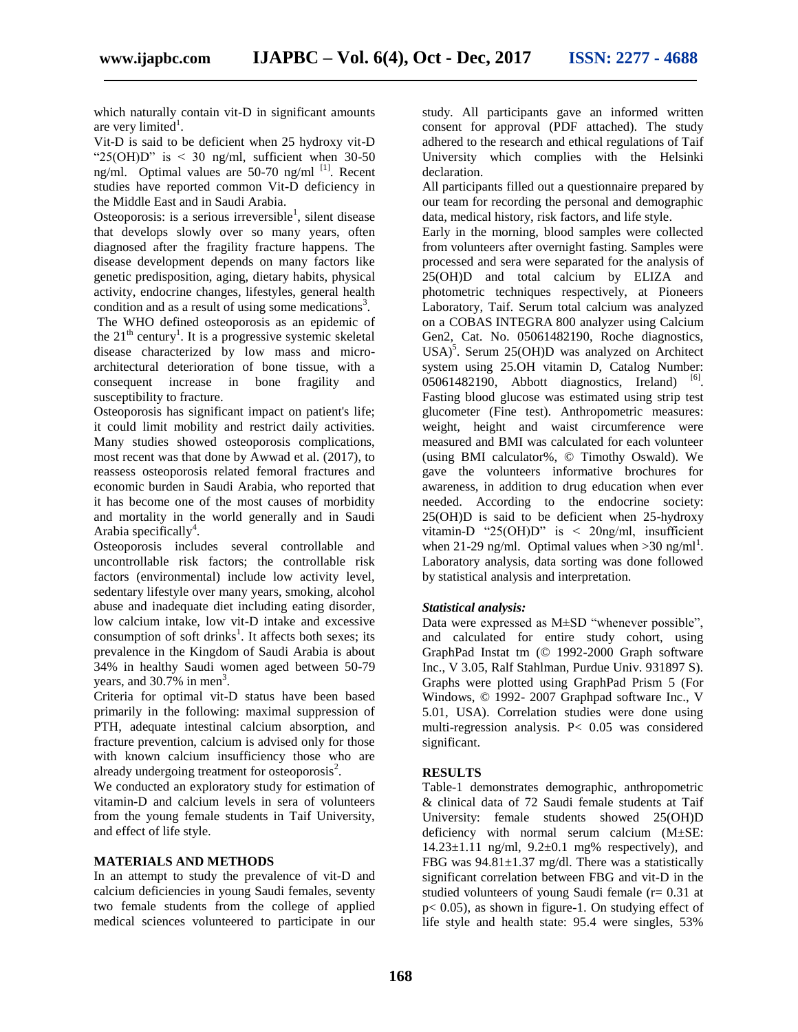which naturally contain vit-D in significant amounts are very limited<sup>1</sup>.

Vit-D is said to be deficient when 25 hydroxy vit-D " $25(OH)D$ " is < 30 ng/ml, sufficient when 30-50 ng/ml. Optimal values are 50-70 ng/ml  $^{[1]}$ . Recent studies have reported common Vit-D deficiency in the Middle East and in Saudi Arabia.

Osteoporosis: is a serious irreversible<sup>1</sup>, silent disease that develops slowly over so many years, often diagnosed after the fragility fracture happens. The disease development depends on many factors like genetic predisposition, aging, dietary habits, physical activity, endocrine changes, lifestyles, general health condition and as a result of using some medications<sup>3</sup>.

The WHO defined osteoporosis as an epidemic of the  $21<sup>th</sup>$  century<sup>1</sup>. It is a progressive systemic skeletal disease characterized by low mass and microarchitectural deterioration of bone tissue, with a consequent increase in bone fragility and susceptibility to fracture.

Osteoporosis has significant impact on patient's life; it could limit mobility and restrict daily activities. Many studies showed osteoporosis complications, most recent was that done by Awwad et al. (2017), to reassess osteoporosis related femoral fractures and economic burden in Saudi Arabia, who reported that it has become one of the most causes of morbidity and mortality in the world generally and in Saudi Arabia specifically<sup>4</sup>.

Osteoporosis includes several controllable and uncontrollable risk factors; the controllable risk factors (environmental) include low activity level, sedentary lifestyle over many years, smoking, alcohol abuse and inadequate diet including eating disorder, low calcium intake, low vit-D intake and excessive consumption of soft drinks<sup>1</sup>. It affects both sexes; its prevalence in the Kingdom of Saudi Arabia is about 34% in healthy Saudi women aged between 50-79 years, and  $30.7\%$  in men<sup>3</sup>.

Criteria for optimal vit-D status have been based primarily in the following: maximal suppression of PTH, adequate intestinal calcium absorption, and fracture prevention, calcium is advised only for those with known calcium insufficiency those who are already undergoing treatment for osteoporosis<sup>2</sup>.

We conducted an exploratory study for estimation of vitamin-D and calcium levels in sera of volunteers from the young female students in Taif University, and effect of life style.

#### **MATERIALS AND METHODS**

In an attempt to study the prevalence of vit-D and calcium deficiencies in young Saudi females, seventy two female students from the college of applied medical sciences volunteered to participate in our

study. All participants gave an informed written consent for approval (PDF attached). The study adhered to the research and ethical regulations of Taif University which complies with the Helsinki declaration.

All participants filled out a questionnaire prepared by our team for recording the personal and demographic data, medical history, risk factors, and life style.

Early in the morning, blood samples were collected from volunteers after overnight fasting. Samples were processed and sera were separated for the analysis of 25(OH)D and total calcium by ELIZA and photometric techniques respectively, at Pioneers Laboratory, Taif. Serum total calcium was analyzed on a COBAS INTEGRA 800 analyzer using Calcium Gen2, Cat. No. 05061482190, Roche diagnostics, USA)<sup>5</sup>. Serum 25(OH)D was analyzed on Architect system using 25.OH vitamin D, Catalog Number:  $05061482190$ , Abbott diagnostics, Ireland)  $^{[6]}$ . Fasting blood glucose was estimated using strip test glucometer (Fine test). Anthropometric measures: weight, height and waist circumference were measured and BMI was calculated for each volunteer (using BMI calculator%, © Timothy Oswald). We gave the volunteers informative brochures for awareness, in addition to drug education when ever needed. According to the endocrine society: 25(OH)D is said to be deficient when 25-hydroxy vitamin-D "25(OH)D" is < 20ng/ml, insufficient when 21-29 ng/ml. Optimal values when  $>$ 30 ng/ml<sup>1</sup>. Laboratory analysis, data sorting was done followed by statistical analysis and interpretation.

#### *Statistical analysis:*

Data were expressed as M±SD "whenever possible", and calculated for entire study cohort, using GraphPad Instat tm (© 1992-2000 Graph software Inc., V 3.05, Ralf Stahlman, Purdue Univ. 931897 S). Graphs were plotted using GraphPad Prism 5 (For Windows, © 1992- 2007 Graphpad software Inc., V 5.01, USA). Correlation studies were done using multi-regression analysis. P< 0.05 was considered significant.

#### **RESULTS**

Table-1 demonstrates demographic, anthropometric & clinical data of 72 Saudi female students at Taif University: female students showed 25(OH)D deficiency with normal serum calcium (M±SE:  $14.23 \pm 1.11$  ng/ml,  $9.2 \pm 0.1$  mg% respectively), and FBG was  $94.81 \pm 1.37$  mg/dl. There was a statistically significant correlation between FBG and vit-D in the studied volunteers of young Saudi female ( $r = 0.31$  at p< 0.05), as shown in figure-1. On studying effect of life style and health state: 95.4 were singles, 53%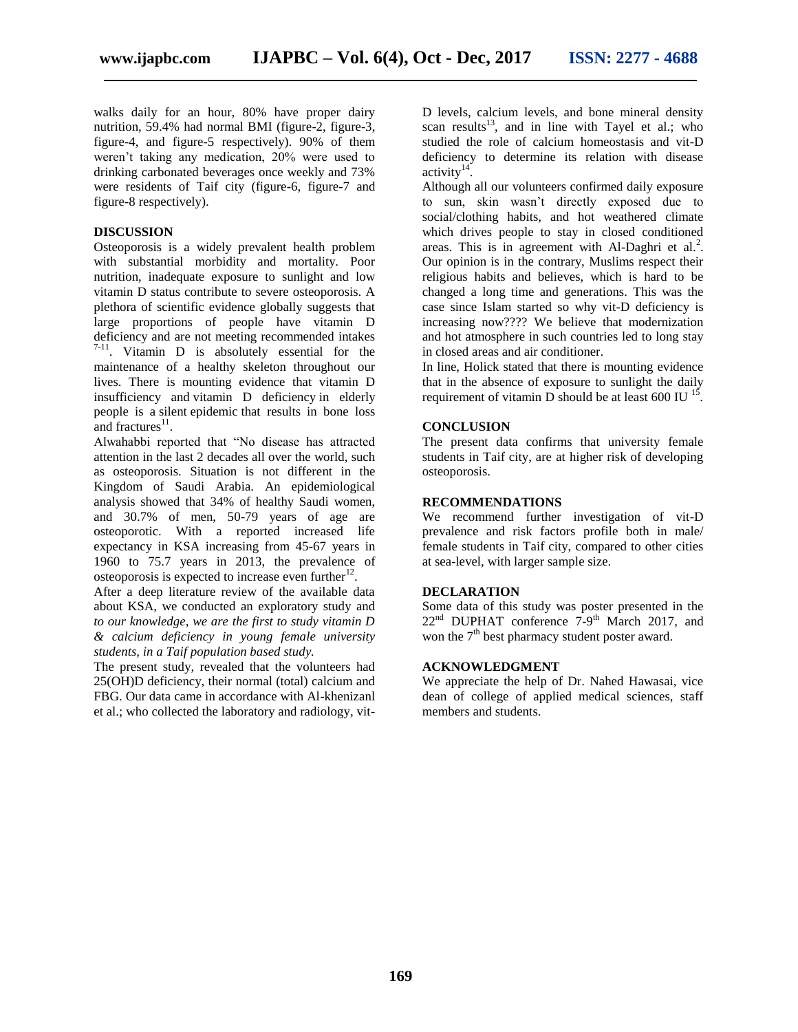walks daily for an hour, 80% have proper dairy nutrition, 59.4% had normal BMI (figure-2, figure-3, figure-4, and figure-5 respectively). 90% of them weren't taking any medication, 20% were used to drinking carbonated beverages once weekly and 73% were residents of Taif city (figure-6, figure-7 and figure-8 respectively).

#### **DISCUSSION**

Osteoporosis is a widely prevalent health problem with substantial morbidity and mortality. Poor nutrition, inadequate exposure to sunlight and low vitamin D status contribute to severe osteoporosis. A plethora of scientific evidence globally suggests that large proportions of people have vitamin D deficiency and are not meeting recommended intakes 7**-**11 . Vitamin D is absolutely essential for the maintenance of a healthy skeleton throughout our lives. There is mounting evidence that vitamin D insufficiency and vitamin D deficiency in elderly people is a silent epidemic that results in bone loss and fractures $^{11}$ .

Alwahabbi reported that "No disease has attracted attention in the last 2 decades all over the world, such as osteoporosis. Situation is not different in the Kingdom of Saudi Arabia. An epidemiological analysis showed that 34% of healthy Saudi women, and 30.7% of men, 50-79 years of age are osteoporotic. With a reported increased life expectancy in KSA increasing from 45-67 years in 1960 to 75.7 years in 2013, the prevalence of osteoporosis is expected to increase even further $12$ .

After a deep literature review of the available data about KSA, we conducted an exploratory study and *to our knowledge, we are the first to study vitamin D & calcium deficiency in young female university students, in a Taif population based study.* 

The present study, revealed that the volunteers had 25(OH)D deficiency, their normal (total) calcium and FBG. Our data came in accordance with Al-khenizanl et al.; who collected the laboratory and radiology, vitD levels, calcium levels, and bone mineral density scan results<sup>13</sup>, and in line with Tayel et al.; who studied the role of calcium homeostasis and vit-D deficiency to determine its relation with disease activity $14$ .

Although all our volunteers confirmed daily exposure to sun, skin wasn't directly exposed due to social/clothing habits, and hot weathered climate which drives people to stay in closed conditioned areas. This is in agreement with Al-Daghri et al.<sup>2</sup>. Our opinion is in the contrary, Muslims respect their religious habits and believes, which is hard to be changed a long time and generations. This was the case since Islam started so why vit-D deficiency is increasing now???? We believe that modernization and hot atmosphere in such countries led to long stay in closed areas and air conditioner.

In line, Holick stated that there is mounting evidence that in the absence of exposure to sunlight the daily requirement of vitamin D should be at least 600 IU  $^{15}$ .

#### **CONCLUSION**

The present data confirms that university female students in Taif city, are at higher risk of developing osteoporosis.

#### **RECOMMENDATIONS**

We recommend further investigation of vit-D prevalence and risk factors profile both in male/ female students in Taif city, compared to other cities at sea-level, with larger sample size.

#### **DECLARATION**

Some data of this study was poster presented in the  $22<sup>nd</sup>$  DUPHAT conference  $7-9<sup>th</sup>$  March 2017, and won the  $7<sup>th</sup>$  best pharmacy student poster award.

#### **ACKNOWLEDGMENT**

We appreciate the help of Dr. Nahed Hawasai, vice dean of college of applied medical sciences, staff members and students.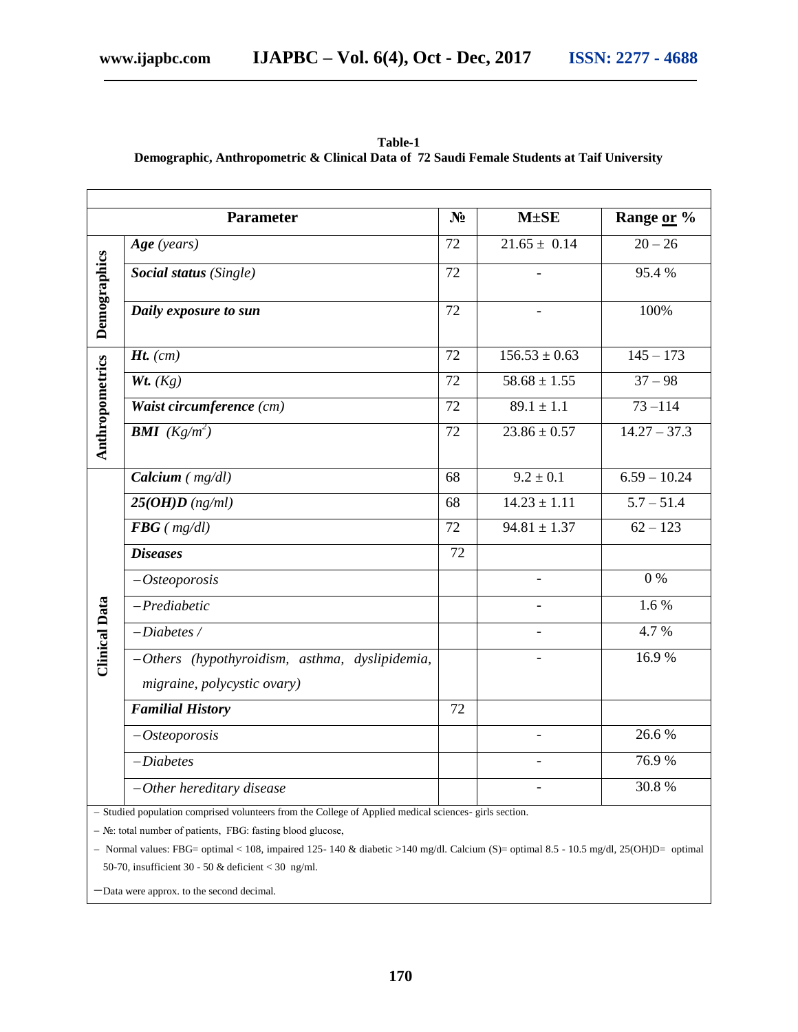|                                                                                                     | <b>Parameter</b>                               | N <sub>2</sub> | $M \pm SE$               | Range or %         |
|-----------------------------------------------------------------------------------------------------|------------------------------------------------|----------------|--------------------------|--------------------|
| Demographics                                                                                        | Age (years)                                    | 72             | $21.65 \pm 0.14$         | $\overline{20-26}$ |
|                                                                                                     | Social status (Single)                         | 72             | $\overline{a}$           | 95.4%              |
|                                                                                                     | Daily exposure to sun                          | 72             |                          | 100%               |
| Anthropometrics                                                                                     | $Ht.$ (cm)                                     | 72             | $156.53 \pm 0.63$        | $145 - 173$        |
|                                                                                                     | Wt. $(Kg)$                                     | 72             | $58.68 \pm 1.55$         | $37 - 98$          |
|                                                                                                     | Waist circumference (cm)                       | 72             | $89.1 \pm 1.1$           | $73 - 114$         |
|                                                                                                     | <b>BMI</b> $(Kg/m^2)$                          | 72             | $23.86 \pm 0.57$         | $14.27 - 37.3$     |
| <b>Clinical Data</b>                                                                                | Calcium $(mg/dl)$                              | 68             | $9.2 \pm 0.1$            | $6.59 - 10.24$     |
|                                                                                                     | $25(OHD)$ (ng/ml)                              | 68             | $14.23 \pm 1.11$         | $5.7 - 51.4$       |
|                                                                                                     | $FBG$ ( $mg/dl$ )                              | 72             | $94.81 \pm 1.37$         | $\sqrt{62-123}$    |
|                                                                                                     | <b>Diseases</b>                                | 72             |                          |                    |
|                                                                                                     | $-Osteoporosis$                                |                |                          | $0\%$              |
|                                                                                                     | $-Prediabetic$                                 |                |                          | 1.6%               |
|                                                                                                     | $-Diabetes/$                                   |                |                          | 4.7%               |
|                                                                                                     | -Others (hypothyroidism, asthma, dyslipidemia, |                |                          | 16.9%              |
|                                                                                                     | migraine, polycystic ovary)                    |                |                          |                    |
|                                                                                                     | <b>Familial History</b>                        | 72             |                          |                    |
|                                                                                                     | $-Osteoporosis$                                |                | $\blacksquare$           | 26.6%              |
|                                                                                                     | $-Diabetes$                                    |                | $\overline{\phantom{0}}$ | 76.9%              |
|                                                                                                     | $-Other$ hereditary disease                    |                |                          | 30.8%              |
| Studied population comprised volunteers from the College of Applied medical sciences, girls section |                                                |                |                          |                    |

**Table-1 Demographic, Anthropometric & Clinical Data of 72 Saudi Female Students at Taif University**

I population comprised volunteers from the College of Applied medical sciences- girls

№: total number of patients, FBG: fasting blood glucose,

- Normal values: FBG= optimal < 108, impaired 125-140 & diabetic >140 mg/dl. Calcium (S)= optimal 8.5 - 10.5 mg/dl, 25(OH)D= optimal 50-70, insufficient 30 - 50 & deficient < 30 ng/ml.

-Data were approx. to the second decimal.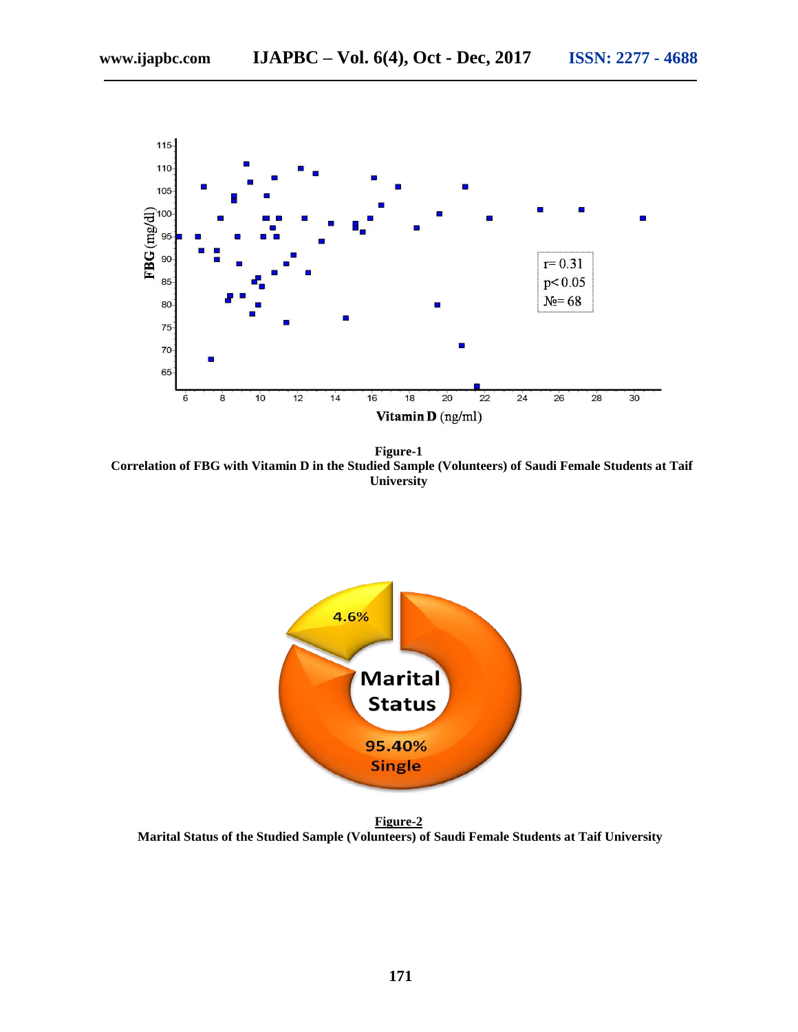

**Figure-1 Correlation of FBG with Vitamin D in the Studied Sample (Volunteers) of Saudi Female Students at Taif University**



**Figure-2 Marital Status of the Studied Sample (Volunteers) of Saudi Female Students at Taif University**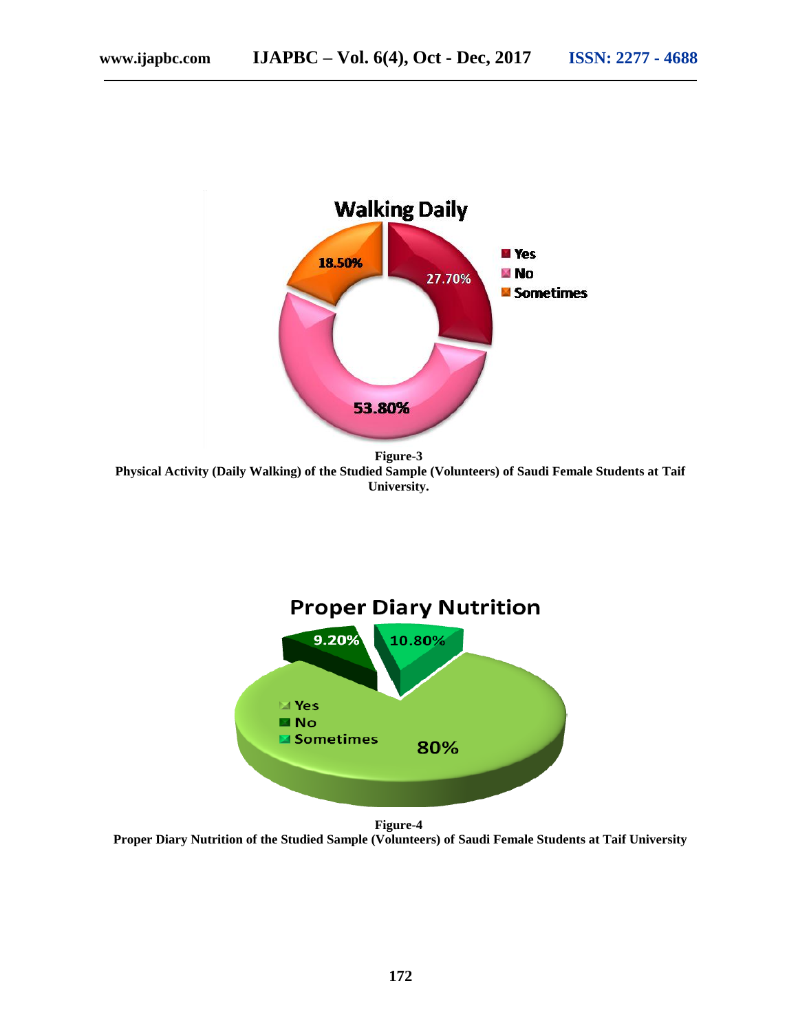

**Figure-3 Physical Activity (Daily Walking) of the Studied Sample (Volunteers) of Saudi Female Students at Taif University.**



**Figure-4 Proper Diary Nutrition of the Studied Sample (Volunteers) of Saudi Female Students at Taif University**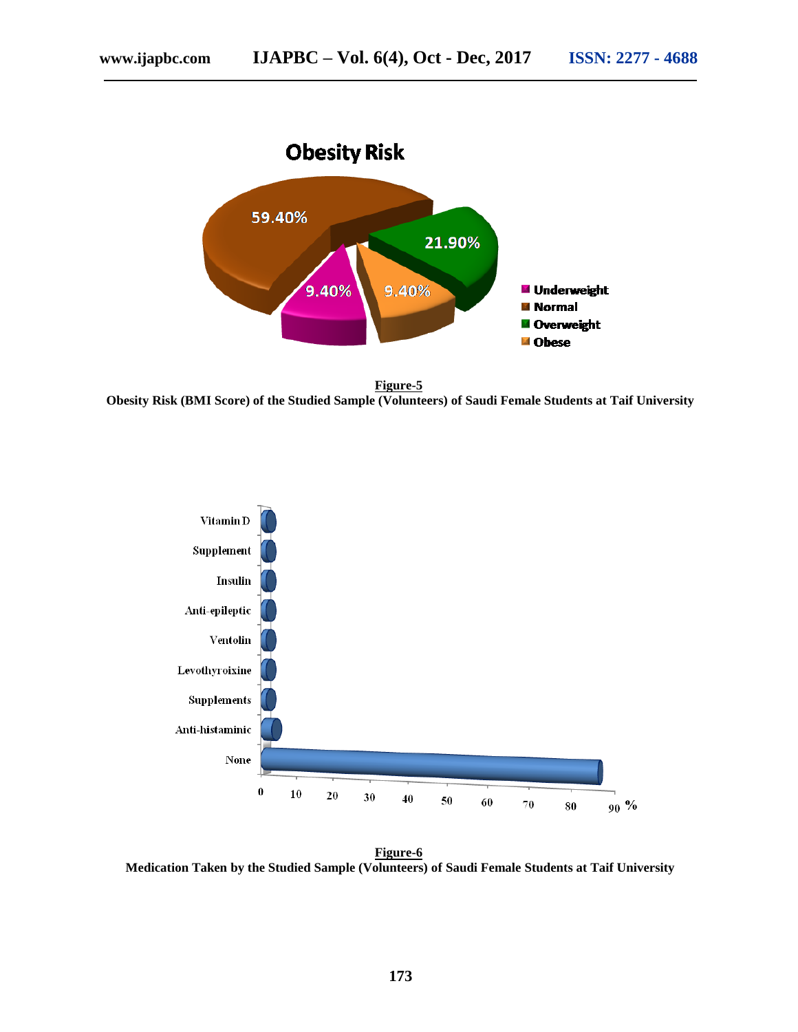



**Figure-5 Obesity Risk (BMI Score) of the Studied Sample (Volunteers) of Saudi Female Students at Taif University**



**Figure-6 Medication Taken by the Studied Sample (Volunteers) of Saudi Female Students at Taif University**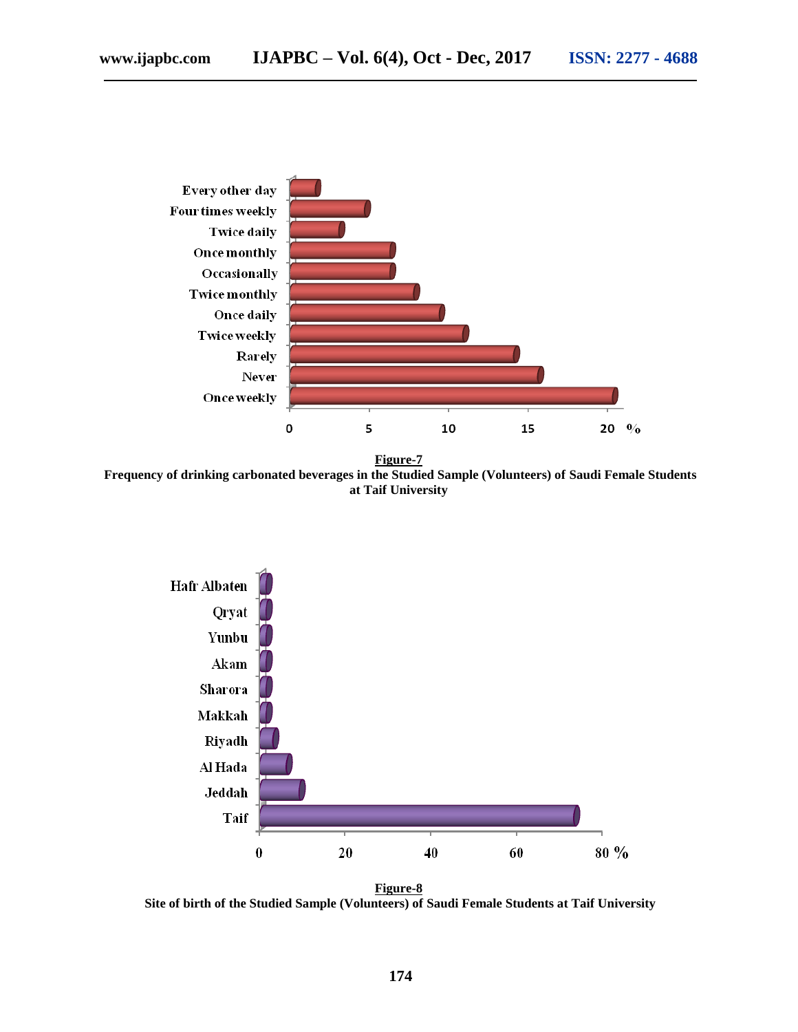

**Figure-7 Frequency of drinking carbonated beverages in the Studied Sample (Volunteers) of Saudi Female Students at Taif University**



**Figure-8 Site of birth of the Studied Sample (Volunteers) of Saudi Female Students at Taif University**